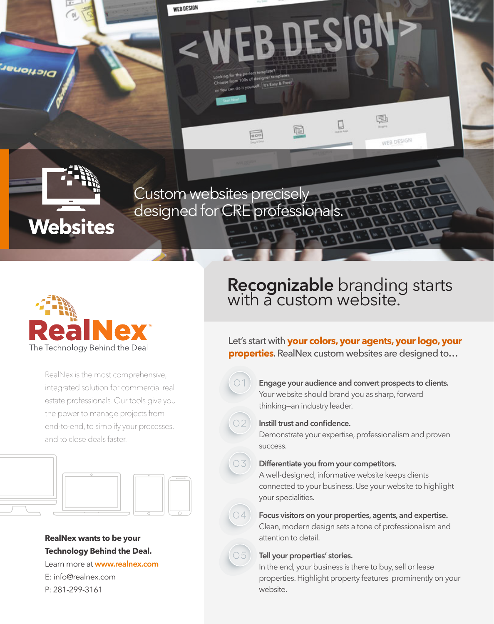Custom websites precisely designed for CRE professionals

m 100s of designer temperatures

 $\frac{1}{1000}$ 

**WEB DESIGN** 



**Websites** 

*Senonary* 

RealNex is the most comprehensive, integrated solution for commercial real estate professionals. Our tools give you the power to manage projects from end-to-end, to simplify your processes, and to close deals faster.



#### **RealNex wants to be your Technology Behind the Deal.**

Learn more at **www.realnex.com** E: info@realnex.com P: 281-299-3161

# **Recognizable** branding starts with a custom website.

▯

国

WEB DESIGN

Let's start with **your colors, your agents, your logo, your properties**. RealNex custom websites are designed to…

**Engage your audience and convert prospects to clients.** Your website should brand you as sharp, forward thinking—an industry leader.



 $74$ 

#### **Instill trust and confidence.**

WEB DESIGN

f

Demonstrate your expertise, professionalism and proven success.

#### **Differentiate you from your competitors.**

A well-designed, informative website keeps clients connected to your business. Use your website to highlight your specialities.



Clean, modern design sets a tone of professionalism and attention to detail.



In the end, your business is there to buy, sell or lease properties. Highlight property features prominently on your website.